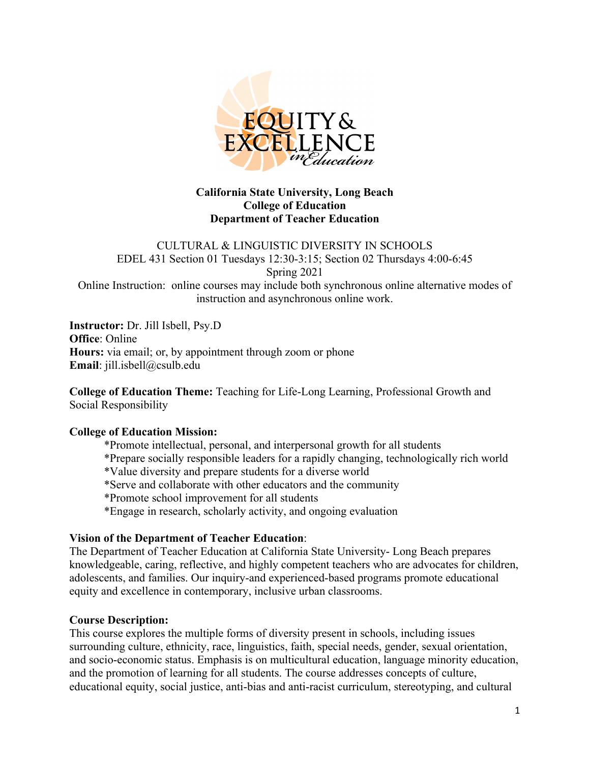

#### **California State University, Long Beach College of Education Department of Teacher Education**

#### CULTURAL & LINGUISTIC DIVERSITY IN SCHOOLS

EDEL 431 Section 01 Tuesdays 12:30-3:15; Section 02 Thursdays 4:00-6:45 Spring 2021

Online Instruction: online courses may include both synchronous online alternative modes of instruction and asynchronous online work.

**Instructor:** Dr. Jill Isbell, Psy.D **Office**: Online **Hours:** via email; or, by appointment through zoom or phone **Email**: jill.isbell@csulb.edu

**College of Education Theme:** Teaching for Life-Long Learning, Professional Growth and Social Responsibility

#### **College of Education Mission:**

- \*Promote intellectual, personal, and interpersonal growth for all students
- \*Prepare socially responsible leaders for a rapidly changing, technologically rich world
- \*Value diversity and prepare students for a diverse world
- \*Serve and collaborate with other educators and the community
- \*Promote school improvement for all students
- \*Engage in research, scholarly activity, and ongoing evaluation

#### **Vision of the Department of Teacher Education**:

The Department of Teacher Education at California State University- Long Beach prepares knowledgeable, caring, reflective, and highly competent teachers who are advocates for children, adolescents, and families. Our inquiry-and experienced-based programs promote educational equity and excellence in contemporary, inclusive urban classrooms.

#### **Course Description:**

This course explores the multiple forms of diversity present in schools, including issues surrounding culture, ethnicity, race, linguistics, faith, special needs, gender, sexual orientation, and socio-economic status. Emphasis is on multicultural education, language minority education, and the promotion of learning for all students. The course addresses concepts of culture, educational equity, social justice, anti-bias and anti-racist curriculum, stereotyping, and cultural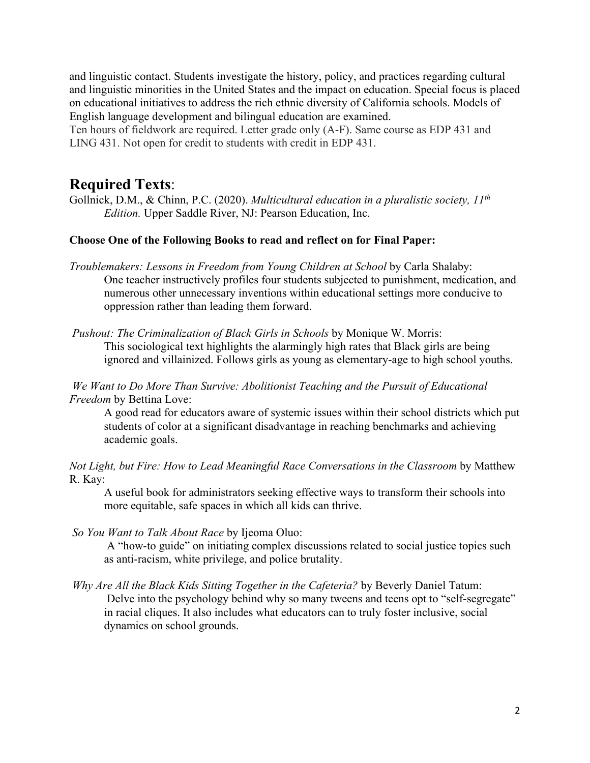and linguistic contact. Students investigate the history, policy, and practices regarding cultural and linguistic minorities in the United States and the impact on education. Special focus is placed on educational initiatives to address the rich ethnic diversity of California schools. Models of English language development and bilingual education are examined.

Ten hours of fieldwork are required. Letter grade only (A-F). Same course as EDP 431 and LING 431. Not open for credit to students with credit in EDP 431.

# **Required Texts**:

Gollnick, D.M., & Chinn, P.C. (2020). *Multicultural education in a pluralistic society, 11th Edition.* Upper Saddle River, NJ: Pearson Education, Inc.

#### **Choose One of the Following Books to read and reflect on for Final Paper:**

- *Troublemakers: Lessons in Freedom from Young Children at School* by Carla Shalaby: One teacher instructively profiles four students subjected to punishment, medication, and numerous other unnecessary inventions within educational settings more conducive to oppression rather than leading them forward.
- *Pushout: The Criminalization of Black Girls in Schools* by Monique W. Morris: This sociological text highlights the alarmingly high rates that Black girls are being ignored and villainized. Follows girls as young as elementary-age to high school youths.

*We Want to Do More Than Survive: Abolitionist Teaching and the Pursuit of Educational Freedom* by Bettina Love:

A good read for educators aware of systemic issues within their school districts which put students of color at a significant disadvantage in reaching benchmarks and achieving academic goals.

*Not Light, but Fire: How to Lead Meaningful Race Conversations in the Classroom* by Matthew R. Kay:

A useful book for administrators seeking effective ways to transform their schools into more equitable, safe spaces in which all kids can thrive.

*So You Want to Talk About Race* by Ijeoma Oluo:

A "how-to guide" on initiating complex discussions related to social justice topics such as anti-racism, white privilege, and police brutality.

*Why Are All the Black Kids Sitting Together in the Cafeteria?* by Beverly Daniel Tatum: Delve into the psychology behind why so many tweens and teens opt to "self-segregate" in racial cliques. It also includes what educators can to truly foster inclusive, social dynamics on school grounds.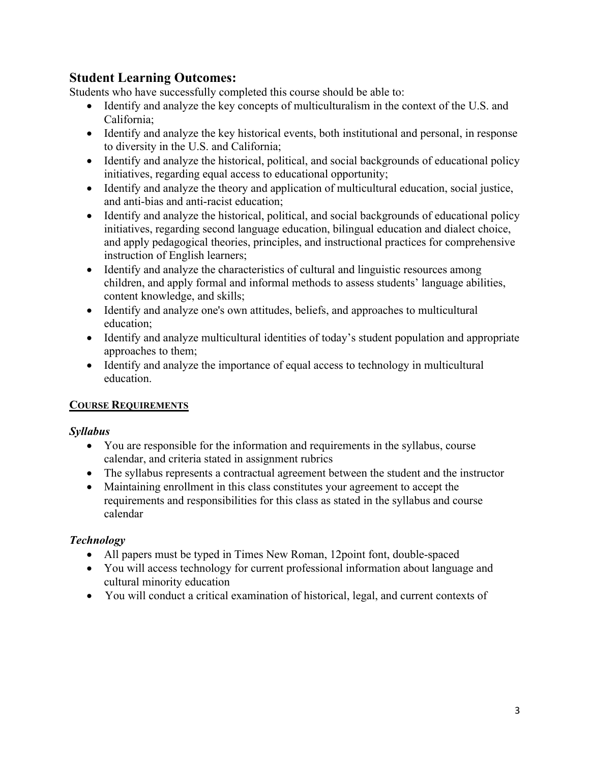## **Student Learning Outcomes:**

Students who have successfully completed this course should be able to:

- Identify and analyze the key concepts of multiculturalism in the context of the U.S. and California;
- Identify and analyze the key historical events, both institutional and personal, in response to diversity in the U.S. and California;
- Identify and analyze the historical, political, and social backgrounds of educational policy initiatives, regarding equal access to educational opportunity;
- Identify and analyze the theory and application of multicultural education, social justice, and anti-bias and anti-racist education;
- Identify and analyze the historical, political, and social backgrounds of educational policy initiatives, regarding second language education, bilingual education and dialect choice, and apply pedagogical theories, principles, and instructional practices for comprehensive instruction of English learners;
- Identify and analyze the characteristics of cultural and linguistic resources among children, and apply formal and informal methods to assess students' language abilities, content knowledge, and skills;
- Identify and analyze one's own attitudes, beliefs, and approaches to multicultural education;
- Identify and analyze multicultural identities of today's student population and appropriate approaches to them;
- Identify and analyze the importance of equal access to technology in multicultural education.

### **COURSE REQUIREMENTS**

#### *Syllabus*

- You are responsible for the information and requirements in the syllabus, course calendar, and criteria stated in assignment rubrics
- The syllabus represents a contractual agreement between the student and the instructor
- Maintaining enrollment in this class constitutes your agreement to accept the requirements and responsibilities for this class as stated in the syllabus and course calendar

### *Technology*

- All papers must be typed in Times New Roman, 12point font, double-spaced
- You will access technology for current professional information about language and cultural minority education
- You will conduct a critical examination of historical, legal, and current contexts of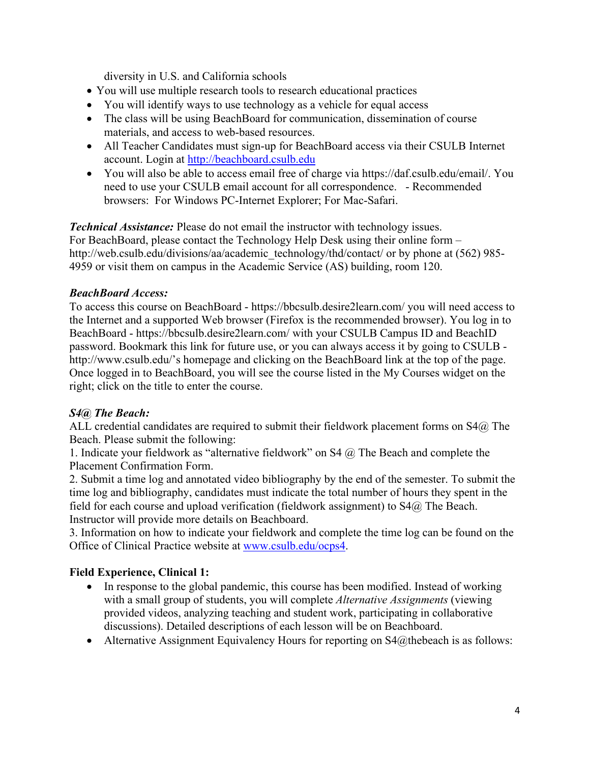diversity in U.S. and California schools

- You will use multiple research tools to research educational practices
- You will identify ways to use technology as a vehicle for equal access
- The class will be using BeachBoard for communication, dissemination of course materials, and access to web-based resources.
- All Teacher Candidates must sign-up for BeachBoard access via their CSULB Internet account. Login at [http://beachboard.csulb.edu](http://beachboard.csulb.edu/)
- You will also be able to access email free of charge via https://daf.csulb.edu/email/. You need to use your CSULB email account for all correspondence. - Recommended browsers: For Windows PC-Internet Explorer; For Mac-Safari.

*Technical Assistance:* Please do not email the instructor with technology issues. For BeachBoard, please contact the Technology Help Desk using their online form – http://web.csulb.edu/divisions/aa/academic\_technology/thd/contact/ or by phone at (562) 985-4959 or visit them on campus in the Academic Service (AS) building, room 120.

#### *BeachBoard Access:*

To access this course on BeachBoard - https://bbcsulb.desire2learn.com/ you will need access to the Internet and a supported Web browser (Firefox is the recommended browser). You log in to BeachBoard - https://bbcsulb.desire2learn.com/ with your CSULB Campus ID and BeachID password. Bookmark this link for future use, or you can always access it by going to CSULB http://www.csulb.edu/'s homepage and clicking on the BeachBoard link at the top of the page. Once logged in to BeachBoard, you will see the course listed in the My Courses widget on the right; click on the title to enter the course.

### *S4@ The Beach:*

ALL credential candidates are required to submit their fieldwork placement forms on  $S4@$  The Beach. Please submit the following:

1. Indicate your fieldwork as "alternative fieldwork" on S4 @ The Beach and complete the Placement Confirmation Form.

2. Submit a time log and annotated video bibliography by the end of the semester. To submit the time log and bibliography, candidates must indicate the total number of hours they spent in the field for each course and upload verification (fieldwork assignment) to S4@ The Beach. Instructor will provide more details on Beachboard.

3. Information on how to indicate your fieldwork and complete the time log can be found on the Office of Clinical Practice website at [www.csulb.edu/ocps4.](http://www.csulb.edu/ocps4)

### **Field Experience, Clinical 1:**

- In response to the global pandemic, this course has been modified. Instead of working with a small group of students, you will complete *Alternative Assignments* (viewing provided videos, analyzing teaching and student work, participating in collaborative discussions). Detailed descriptions of each lesson will be on Beachboard.
- Alternative Assignment Equivalency Hours for reporting on  $S4@t$ hebeach is as follows: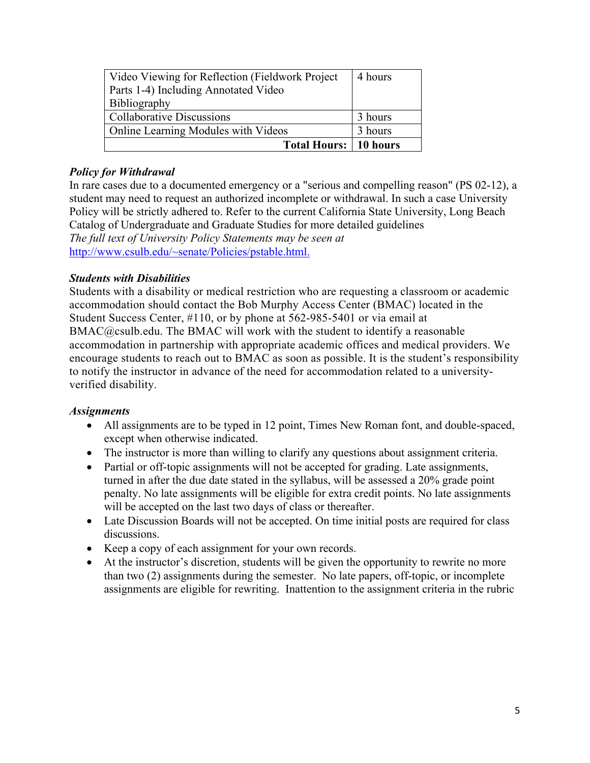| Video Viewing for Reflection (Fieldwork Project) | 4 hours |
|--------------------------------------------------|---------|
| Parts 1-4) Including Annotated Video             |         |
| Bibliography                                     |         |
| <b>Collaborative Discussions</b>                 | 3 hours |
| <b>Online Learning Modules with Videos</b>       | 3 hours |
| <b>Total Hours:</b> 10 hours                     |         |

### *Policy for Withdrawal*

In rare cases due to a documented emergency or a "serious and compelling reason" (PS 02-12), a student may need to request an authorized incomplete or withdrawal. In such a case University Policy will be strictly adhered to. Refer to the current California State University, Long Beach Catalog of Undergraduate and Graduate Studies for more detailed guidelines *The full text of University Policy Statements may be seen at*  [http://www.csulb.edu/~senate/Policies/pstable.html.](http://www.csulb.edu/%7Esenate/Policies/pstable.html.)

### *Students with Disabilities*

Students with a disability or medical restriction who are requesting a classroom or academic accommodation should contact the Bob Murphy Access Center (BMAC) located in the Student Success Center, #110, or by phone at 562-985-5401 or via email at BMAC@csulb.edu. The BMAC will work with the student to identify a reasonable accommodation in partnership with appropriate academic offices and medical providers. We encourage students to reach out to BMAC as soon as possible. It is the student's responsibility to notify the instructor in advance of the need for accommodation related to a universityverified disability.

#### *Assignments*

- All assignments are to be typed in 12 point, Times New Roman font, and double-spaced, except when otherwise indicated.
- The instructor is more than willing to clarify any questions about assignment criteria.
- Partial or off-topic assignments will not be accepted for grading. Late assignments, turned in after the due date stated in the syllabus, will be assessed a 20% grade point penalty. No late assignments will be eligible for extra credit points. No late assignments will be accepted on the last two days of class or thereafter.
- Late Discussion Boards will not be accepted. On time initial posts are required for class discussions.
- Keep a copy of each assignment for your own records.
- At the instructor's discretion, students will be given the opportunity to rewrite no more than two (2) assignments during the semester. No late papers, off-topic, or incomplete assignments are eligible for rewriting. Inattention to the assignment criteria in the rubric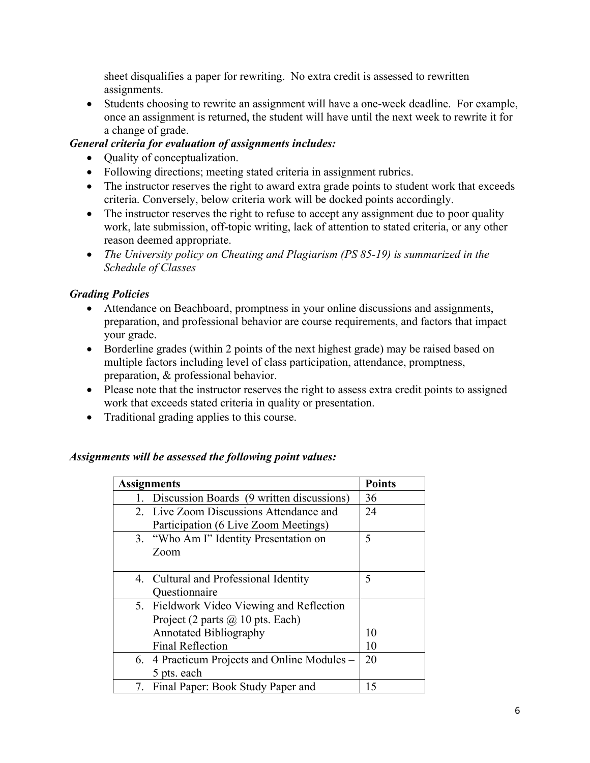sheet disqualifies a paper for rewriting. No extra credit is assessed to rewritten assignments.

• Students choosing to rewrite an assignment will have a one-week deadline. For example, once an assignment is returned, the student will have until the next week to rewrite it for a change of grade.

### *General criteria for evaluation of assignments includes:*

- Quality of conceptualization.
- Following directions; meeting stated criteria in assignment rubrics.
- The instructor reserves the right to award extra grade points to student work that exceeds criteria. Conversely, below criteria work will be docked points accordingly.
- The instructor reserves the right to refuse to accept any assignment due to poor quality work, late submission, off-topic writing, lack of attention to stated criteria, or any other reason deemed appropriate.
- *The University policy on Cheating and Plagiarism (PS 85-19) is summarized in the Schedule of Classes*

### *Grading Policies*

- Attendance on Beachboard, promptness in your online discussions and assignments, preparation, and professional behavior are course requirements, and factors that impact your grade.
- Borderline grades (within 2 points of the next highest grade) may be raised based on multiple factors including level of class participation, attendance, promptness, preparation, & professional behavior.
- Please note that the instructor reserves the right to assess extra credit points to assigned work that exceeds stated criteria in quality or presentation.
- Traditional grading applies to this course.

### *Assignments will be assessed the following point values:*

| <b>Assignments</b> |                                              | <b>Points</b> |
|--------------------|----------------------------------------------|---------------|
|                    | 1. Discussion Boards (9 written discussions) | 36            |
|                    | 2. Live Zoom Discussions Attendance and      | 24            |
|                    | Participation (6 Live Zoom Meetings)         |               |
|                    | 3. "Who Am I" Identity Presentation on       | 5             |
|                    | Zoom                                         |               |
|                    |                                              |               |
|                    | 4. Cultural and Professional Identity        | 5             |
|                    | Questionnaire                                |               |
|                    | 5. Fieldwork Video Viewing and Reflection    |               |
|                    | Project (2 parts $\omega$ 10 pts. Each)      |               |
|                    | <b>Annotated Bibliography</b>                | 10            |
|                    | <b>Final Reflection</b>                      | 10            |
|                    | 6. 4 Practicum Projects and Online Modules – | 20            |
|                    | 5 pts. each                                  |               |
|                    | 7. Final Paper: Book Study Paper and         | 15            |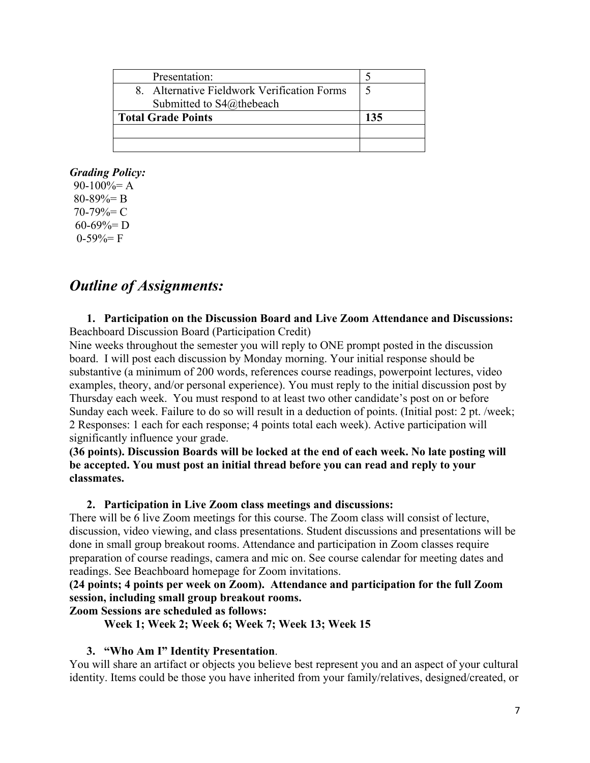| Presentation:                               |     |
|---------------------------------------------|-----|
| 8. Alternative Fieldwork Verification Forms |     |
| Submitted to S4@thebeach                    |     |
| <b>Total Grade Points</b>                   | 135 |
|                                             |     |
|                                             |     |

*Grading Policy:*  $90-100% = A$  $80 - 89\% = B$ 70-79%= C  $60-69\% = D$  $0-59\% = F$ 

# *Outline of Assignments:*

**1. Participation on the Discussion Board and Live Zoom Attendance and Discussions:**  Beachboard Discussion Board (Participation Credit)

Nine weeks throughout the semester you will reply to ONE prompt posted in the discussion board. I will post each discussion by Monday morning. Your initial response should be substantive (a minimum of 200 words, references course readings, powerpoint lectures, video examples, theory, and/or personal experience). You must reply to the initial discussion post by Thursday each week. You must respond to at least two other candidate's post on or before Sunday each week. Failure to do so will result in a deduction of points. (Initial post: 2 pt. /week; 2 Responses: 1 each for each response; 4 points total each week). Active participation will significantly influence your grade.

#### **(36 points). Discussion Boards will be locked at the end of each week. No late posting will be accepted. You must post an initial thread before you can read and reply to your classmates.**

#### **2. Participation in Live Zoom class meetings and discussions:**

There will be 6 live Zoom meetings for this course. The Zoom class will consist of lecture, discussion, video viewing, and class presentations. Student discussions and presentations will be done in small group breakout rooms. Attendance and participation in Zoom classes require preparation of course readings, camera and mic on. See course calendar for meeting dates and readings. See Beachboard homepage for Zoom invitations.

### **(24 points; 4 points per week on Zoom). Attendance and participation for the full Zoom session, including small group breakout rooms.**

#### **Zoom Sessions are scheduled as follows:**

**Week 1; Week 2; Week 6; Week 7; Week 13; Week 15**

#### **3. "Who Am I" Identity Presentation**.

You will share an artifact or objects you believe best represent you and an aspect of your cultural identity. Items could be those you have inherited from your family/relatives, designed/created, or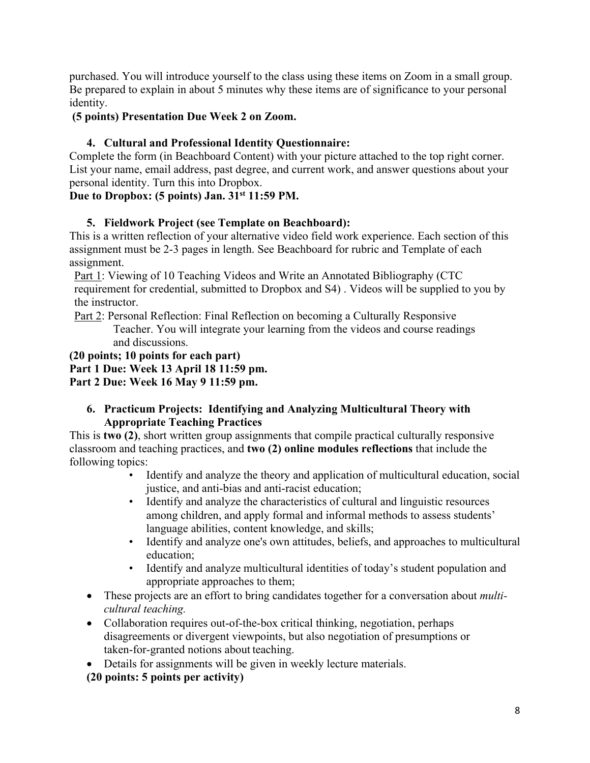purchased. You will introduce yourself to the class using these items on Zoom in a small group. Be prepared to explain in about 5 minutes why these items are of significance to your personal identity.

### **(5 points) Presentation Due Week 2 on Zoom.**

### **4. Cultural and Professional Identity Questionnaire:**

Complete the form (in Beachboard Content) with your picture attached to the top right corner. List your name, email address, past degree, and current work, and answer questions about your personal identity. Turn this into Dropbox.

### **Due to Dropbox: (5 points) Jan. 31st 11:59 PM.**

### **5. Fieldwork Project (see Template on Beachboard):**

This is a written reflection of your alternative video field work experience. Each section of this assignment must be 2-3 pages in length. See Beachboard for rubric and Template of each assignment.

Part 1: Viewing of 10 Teaching Videos and Write an Annotated Bibliography (CTC requirement for credential, submitted to Dropbox and S4) . Videos will be supplied to you by the instructor.

Part 2: Personal Reflection: Final Reflection on becoming a Culturally Responsive Teacher. You will integrate your learning from the videos and course readings and discussions.

**(20 points; 10 points for each part) Part 1 Due: Week 13 April 18 11:59 pm.**

**Part 2 Due: Week 16 May 9 11:59 pm.**

**6. Practicum Projects: Identifying and Analyzing Multicultural Theory with Appropriate Teaching Practices**

This is **two (2)**, short written group assignments that compile practical culturally responsive classroom and teaching practices, and **two (2) online modules reflections** that include the following topics:

- Identify and analyze the theory and application of multicultural education, social justice, and anti-bias and anti-racist education;
- Identify and analyze the characteristics of cultural and linguistic resources among children, and apply formal and informal methods to assess students' language abilities, content knowledge, and skills;
- Identify and analyze one's own attitudes, beliefs, and approaches to multicultural education;
- Identify and analyze multicultural identities of today's student population and appropriate approaches to them;
- These projects are an effort to bring candidates together for a conversation about *multicultural teaching.*
- Collaboration requires out-of-the-box critical thinking, negotiation, perhaps disagreements or divergent viewpoints, but also negotiation of presumptions or taken-for-granted notions about teaching.
- Details for assignments will be given in weekly lecture materials.

**(20 points: 5 points per activity)**